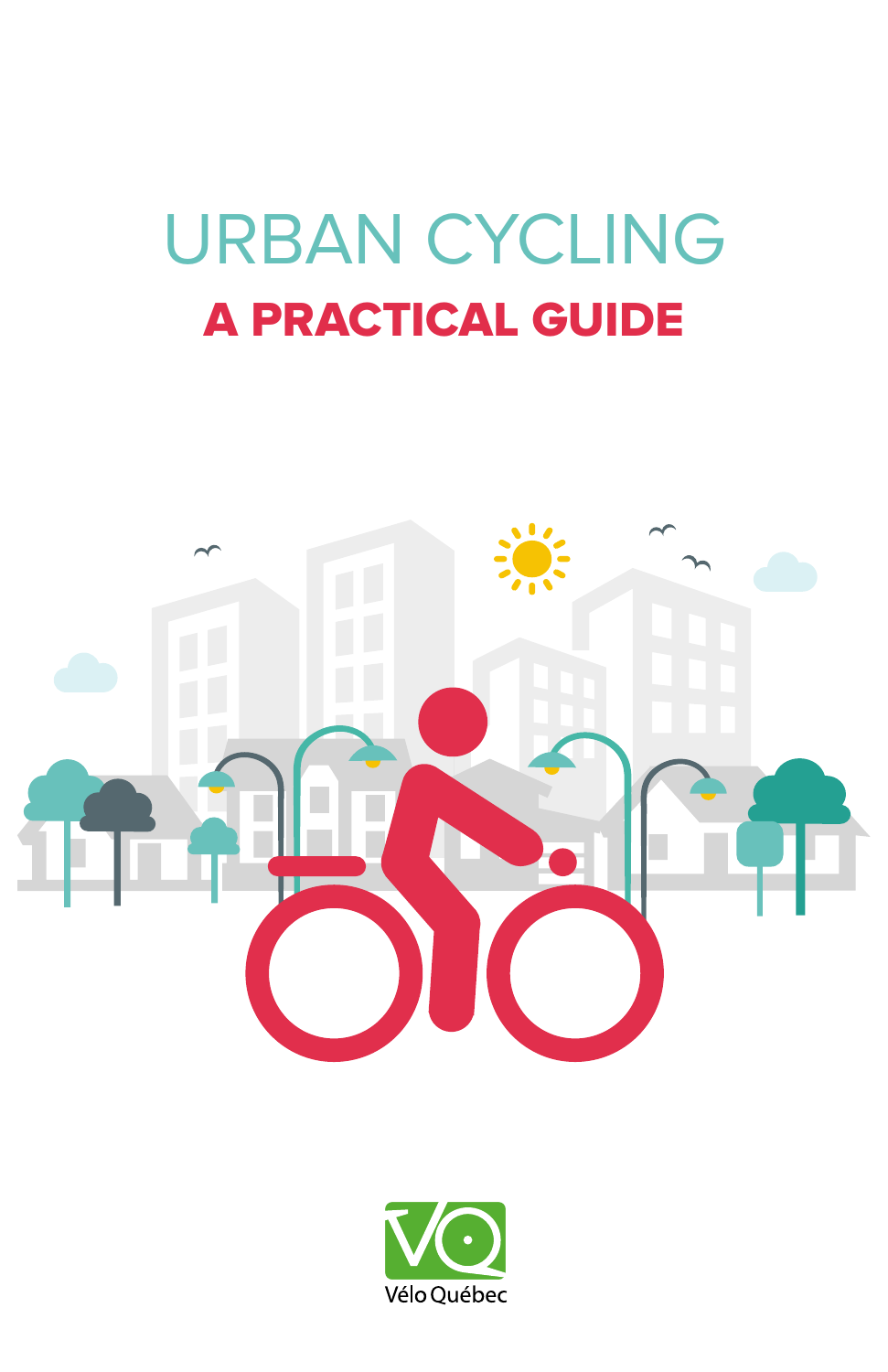# URBAN CYCLING A PRACTICAL GUIDE



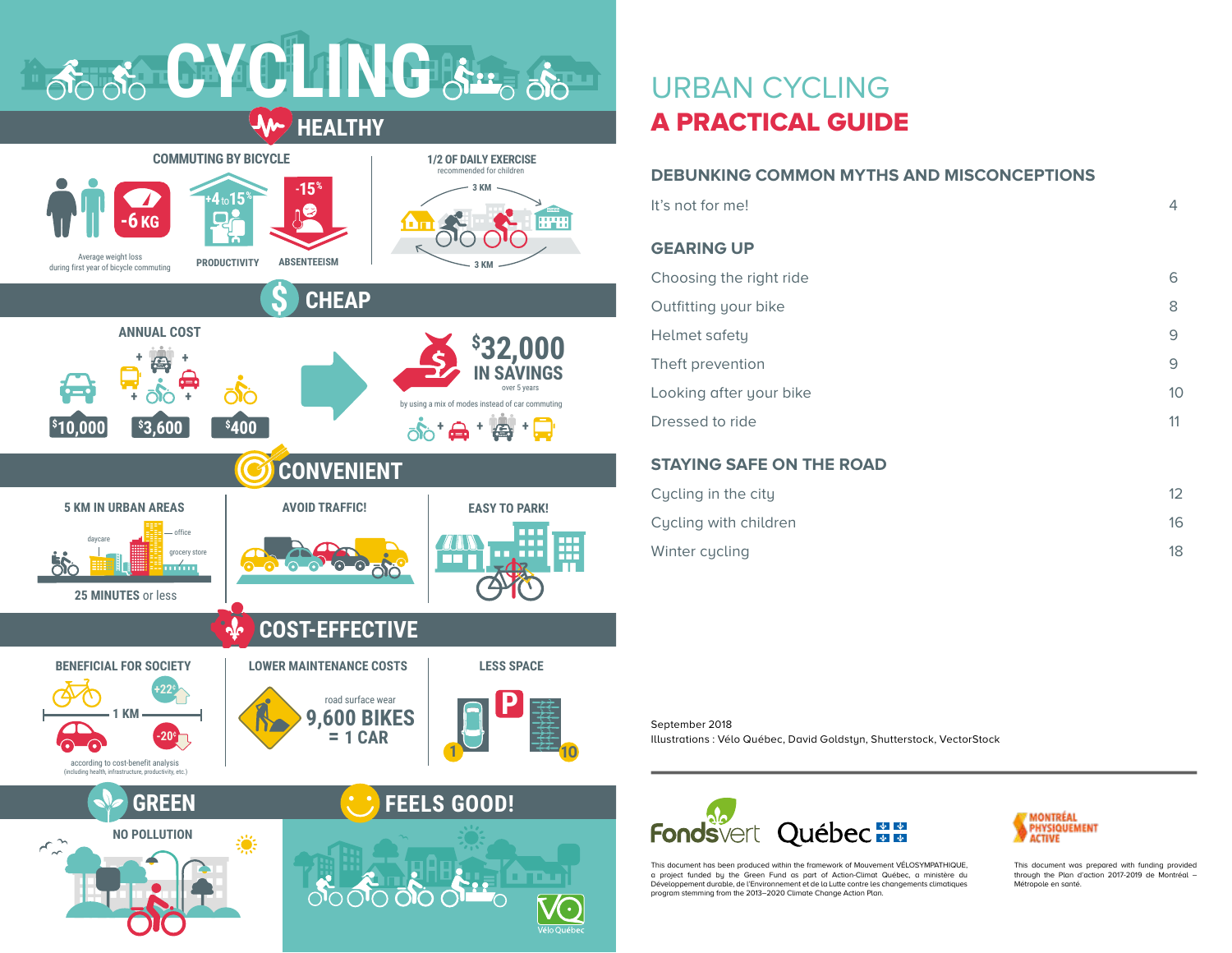



# URBAN CYCLING A PRACTICAL GUIDE

# **DEBUNKING COMMON MYTHS AND MISCONCEPTIONS**

| It's not for me!        | 4  |
|-------------------------|----|
| <b>GEARING UP</b>       |    |
| Choosing the right ride | 6  |
| Outfitting your bike    | 8  |
| Helmet safety           | 9  |
| Theft prevention        | 9  |
| Looking after your bike | 10 |
| Dressed to ride         | 11 |
|                         |    |

# **STAYING SAFE ON THE ROAD**

| Cycling in the city   | 12 |
|-----------------------|----|
| Cucling with children | 16 |
| Winter cycling        | 18 |

#### September 2018

Illustrations : Vélo Québec, David Goldstun, Shutterstock, VectorStock



This document has been produced within the framework of Mouvement VÉLOSYMPATHIQUE, a project funded by the Green Fund as part of Action-Climat Québec, a ministère du Développement durable, de l'Environnement et de la Lutte contre les changements climatiques program stemming from the 2013–2020 Climate Change Action Plan.



This document was prepared with funding provided through the Plan d'action 2017-2019 de Montréal – Métropole en santé.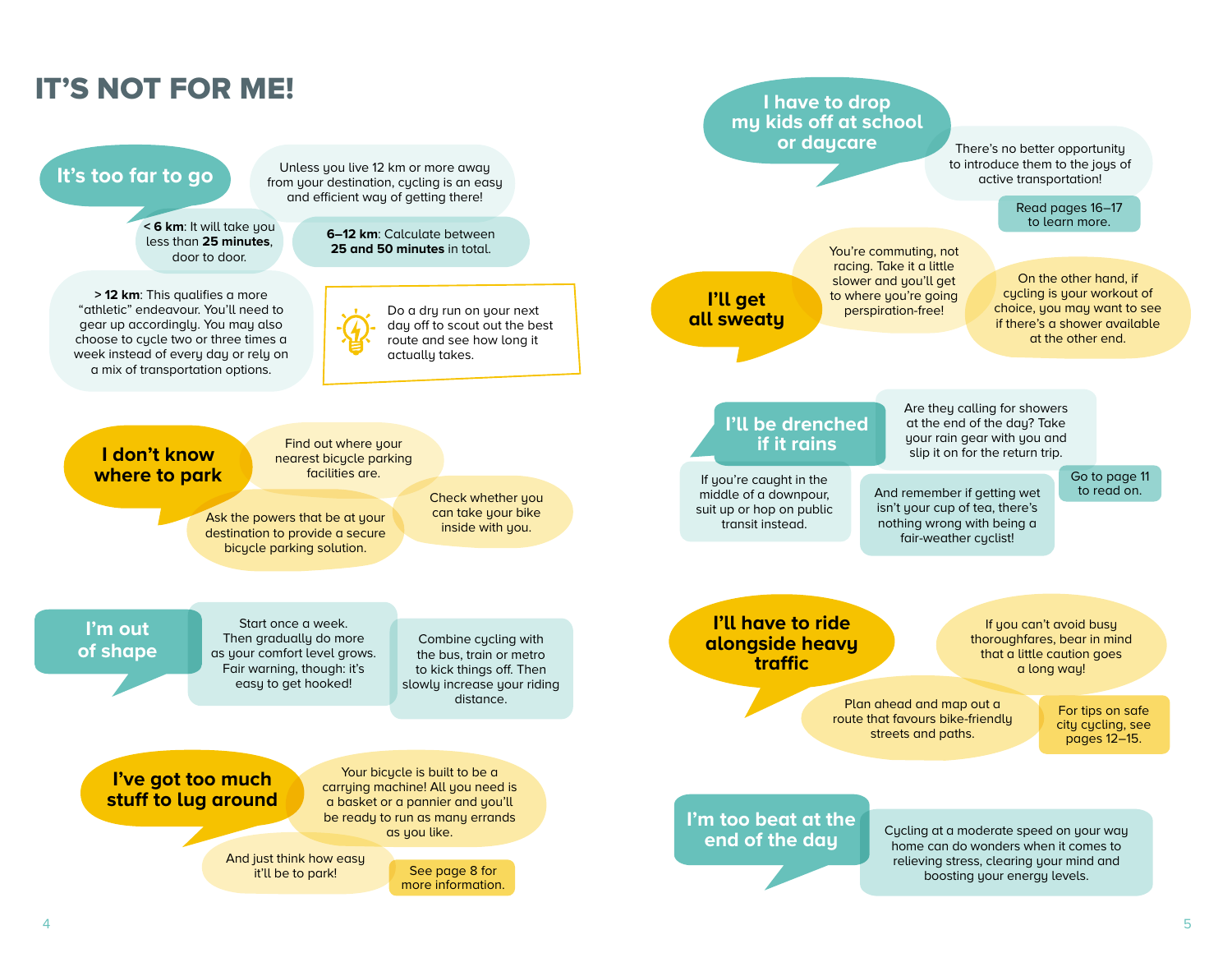<span id="page-2-0"></span>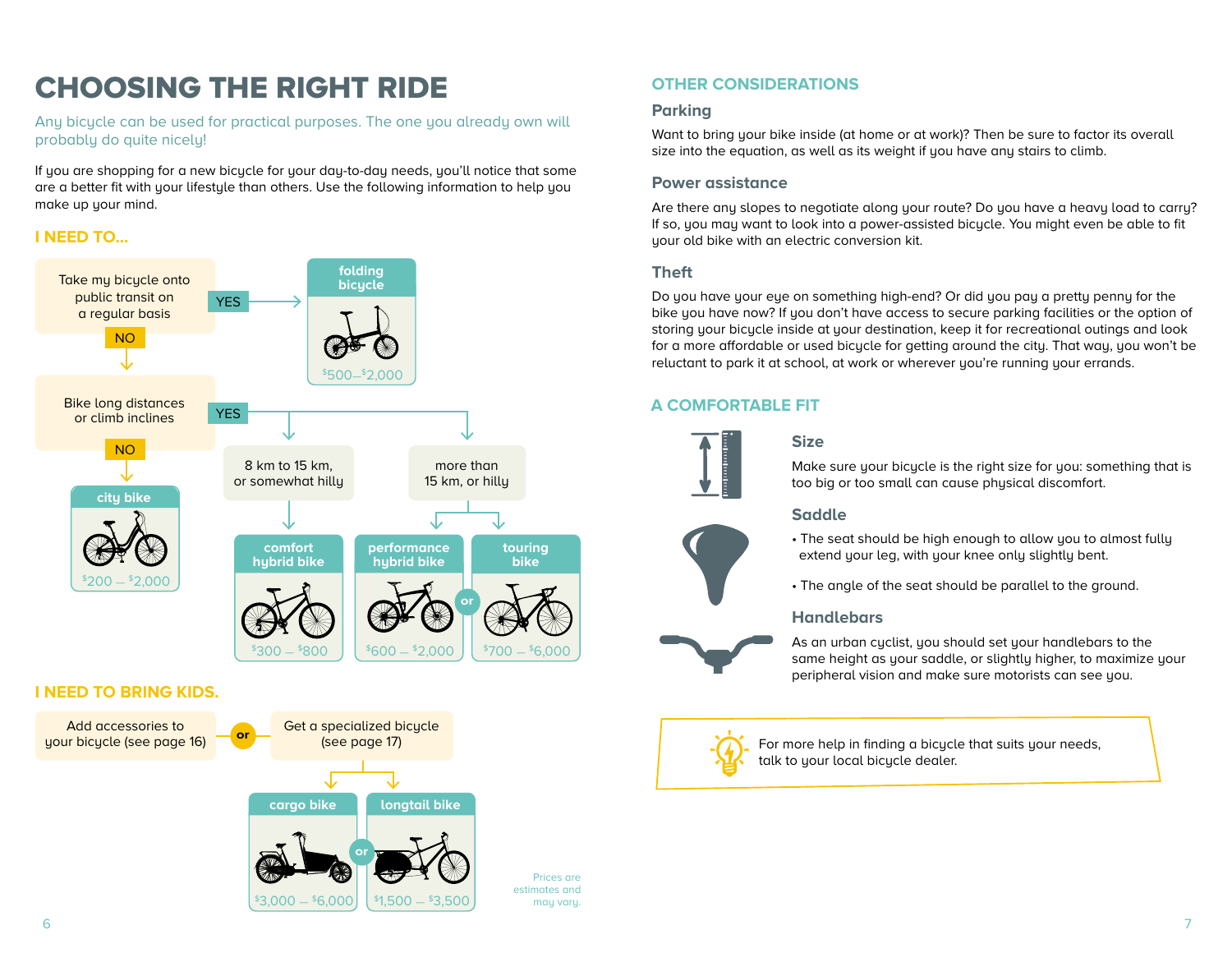# CHOOSING THE RIGHT RIDE **OTHER CONSIDERATIONS**

Any bicycle can be used for practical purposes. The one you already own will probably do quite nicely!

If you are shopping for a new bicycle for your day-to-day needs, you'll notice that some are a better fit with your lifestyle than others. Use the following information to help you make up your mind.

# **I NEED TO...**



# **I NEED TO BRING KIDS.**



# **Parking**

Want to bring your bike inside (at home or at work)? Then be sure to factor its overall size into the equation, as well as its weight if you have any stairs to climb.

### **Power assistance**

Are there any slopes to negotiate along your route? Do you have a heavy load to carry? If so, you may want to look into a power-assisted bicycle. You might even be able to fit uour old bike with an electric conversion kit.

### **Theft**

Do you have your eye on something high-end? Or did you pay a pretty penny for the bike you have now? If you don't have access to secure parking facilities or the option of storing your bicycle inside at your destination, keep it for recreational outings and look for a more affordable or used bicycle for getting around the city. That way, you won't be reluctant to park it at school, at work or wherever you're running your errands.

# **A COMFORTABLE FIT**



# **Size**

Make sure your bicycle is the right size for you: something that is too big or too small can cause physical discomfort.

## **Saddle**

- The seat should be high enough to allow you to almost fully extend your leg, with your knee only slightly bent.
- The angle of the seat should be parallel to the ground.

#### **Handlebars**

As an urban cyclist, you should set your handlebars to the same height as your saddle, or slightly higher, to maximize your peripheral vision and make sure motorists can see you.



Prices are estimates and may vary.

For more help in finding a bicycle that suits your needs, talk to your local bicycle dealer.

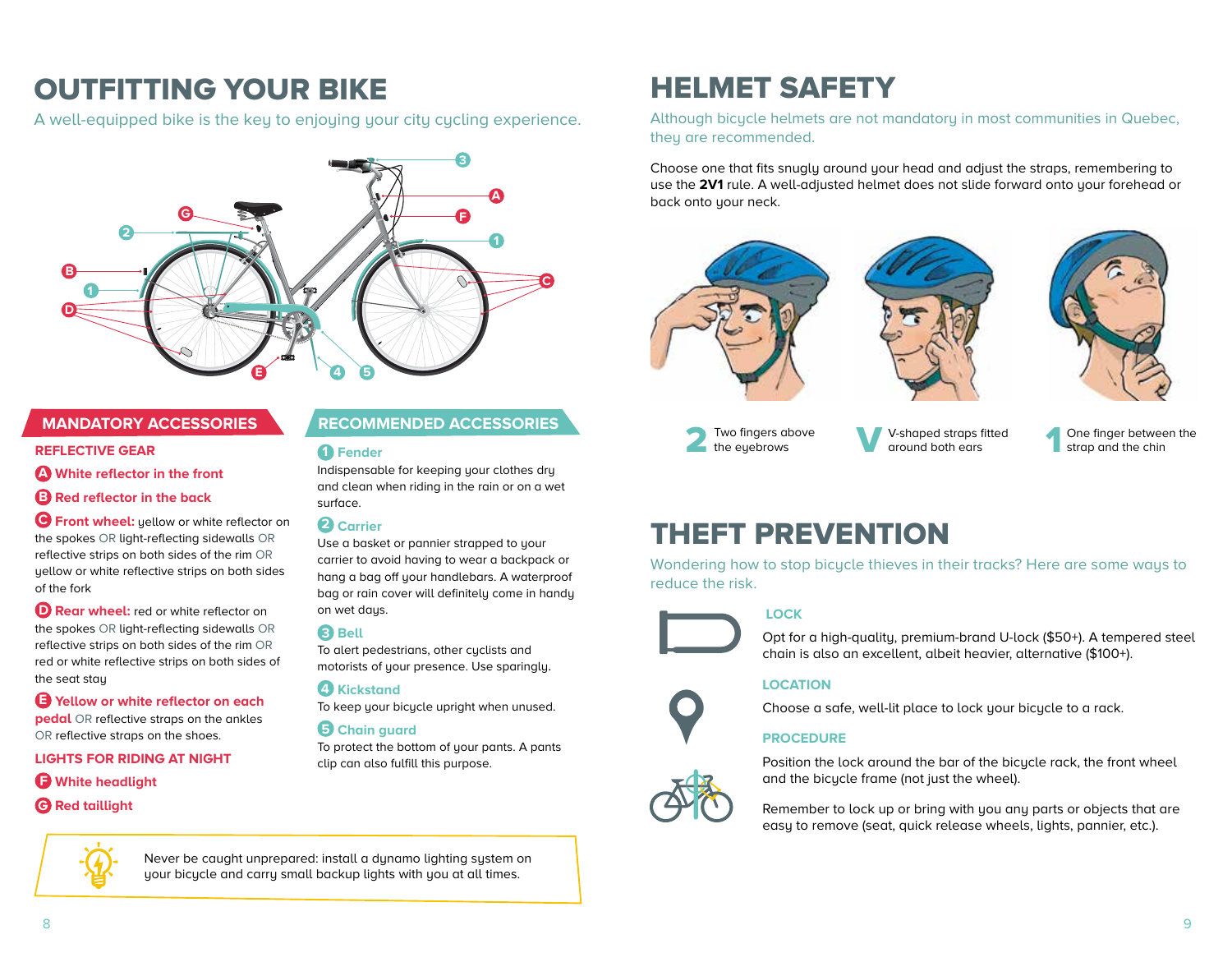# OUTFITTING YOUR BIKE

A well-equipped bike is the key to enjoying your city cycling experience.



#### **REFLECTIVE GEAR**

**A White reflector in the front**

**B Red reflector in the back**

 **Front wheel:** yellow or white reflector on **C** the spokes OR light-reflecting sidewalls OR reflective strips on both sides of the rim OR yellow or white reflective strips on both sides of the fork

**D** Rear wheel: red or white reflector on the spokes OR light-reflecting sidewalls OR reflective strips on both sides of the rim OR red or white reflective strips on both sides of the seat stay

**E Yellow or white reflector on each pedal** OR reflective straps on the ankles OR reflective straps on the shoes.

#### **LIGHTS FOR RIDING AT NIGHT**

#### **F White headlight**

#### **G Red taillight**



Never be caught unprepared: install a dynamo lighting system on your bicycle and carry small backup lights with you at all times.

# **MANDATORY ACCESSORIES RECOMMENDED ACCESSORIES**

#### **1 Fender**

Indispensable for keeping your clothes dry and clean when riding in the rain or on a wet surface.

#### **2 Carrier**

Use a basket or pannier strapped to your carrier to avoid having to wear a backpack or hang a bag off your handlebars. A waterproof bag or rain cover will definitely come in handy on wet days.

## **Bell 3**

To alert pedestrians, other cyclists and motorists of your presence. Use sparingly.

# **Kickstand 4**

To keep your bicycle upright when unused.

## **Chain guard 5**

To protect the bottom of your pants. A pants clip can also fulfill this purpose.

# HELMET SAFETY

Although bicycle helmets are not mandatory in most communities in Quebec, they are recommended.

Choose one that fits snugly around your head and adjust the straps, remembering to use the **2V1** rule. A well-adjusted helmet does not slide forward onto your forehead or back onto your neck.







Two fingers above<br>the eyebrows

V-shaped straps fitted<br>around both ears

One finger between the strap and the chin

# THEFT PREVENTION

Wondering how to stop bicycle thieves in their tracks? Here are some ways to reduce the risk.

# **LOCK**



Opt for a high-quality, premium-brand U-lock (\$50+). A tempered steel chain is also an excellent, albeit heavier, alternative (\$100+).

## **LOCATION**

Choose a safe, well-lit place to lock your bicycle to a rack.

## **PROCEDURE**

Position the lock around the bar of the bicycle rack, the front wheel and the bicycle frame (not just the wheel).



Remember to lock up or bring with you any parts or objects that are easy to remove (seat, quick release wheels, lights, pannier, etc.).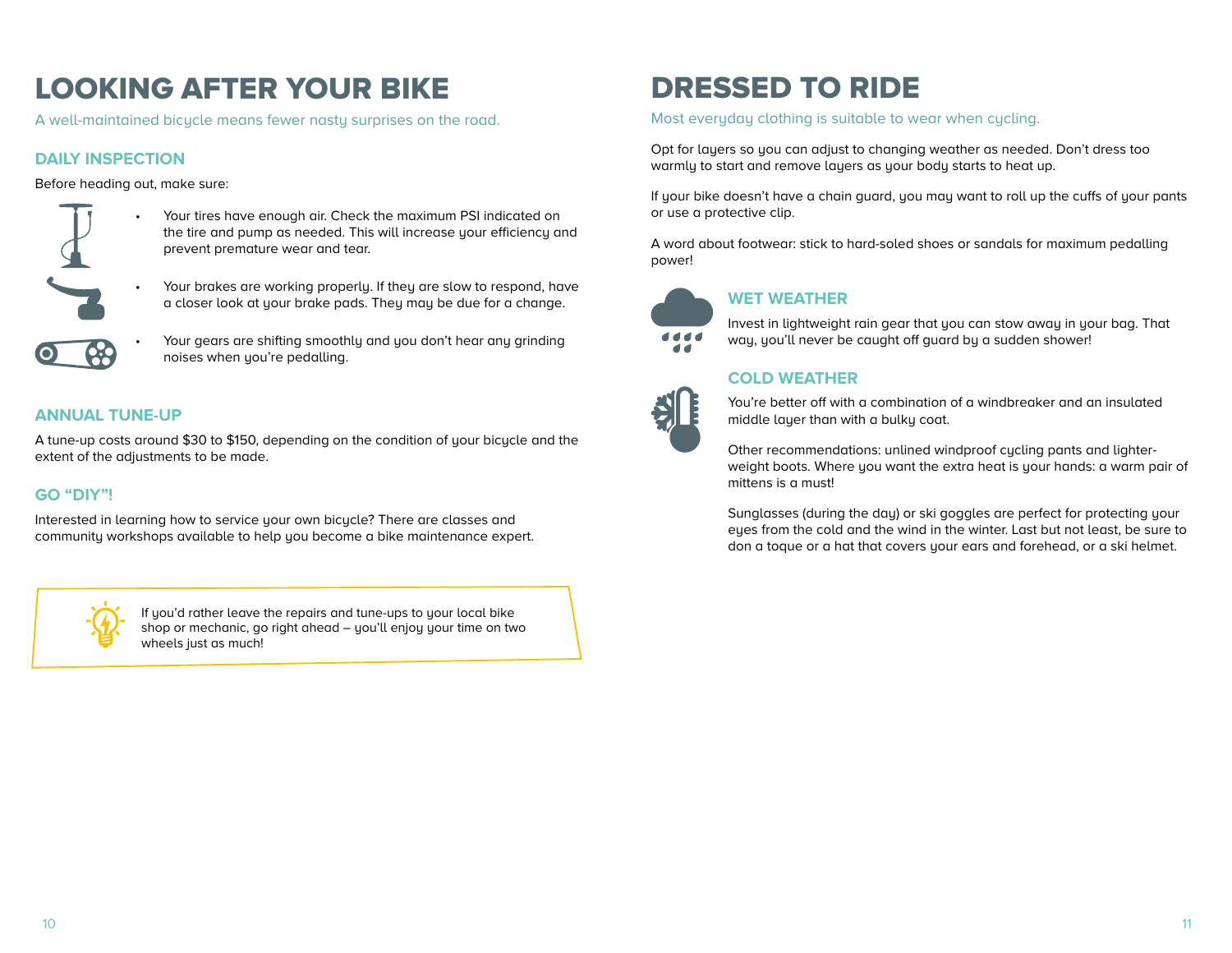# <span id="page-5-0"></span>LOOKING AFTER YOUR BIKE

A well-maintained bicycle means fewer nasty surprises on the road.

# **DAILY INSPECTION**

Before heading out, make sure:



- Your tires have enough air. Check the maximum PSI indicated on the tire and pump as needed. This will increase your efficiency and prevent premature wear and tear.
- Your brakes are working properly. If they are slow to respond, have a closer look at your brake pads. They may be due for a change.



Your gears are shifting smoothly and you don't hear any grinding noises when you're pedalling.

# **ANNUAL TUNE-UP**

A tune-up costs around \$30 to \$150, depending on the condition of your bicycle and the extent of the adjustments to be made.

# **GO "DIY"!**

Interested in learning how to service your own bicycle? There are classes and community workshops available to help you become a bike maintenance expert.



If you'd rather leave the repairs and tune-ups to your local bike shop or mechanic, go right ahead – you'll enjoy your time on two wheels just as much!

# DRESSED TO RIDE

Most everyday clothing is suitable to wear when cycling.

Opt for layers so you can adjust to changing weather as needed. Don't dress too warmly to start and remove layers as your body starts to heat up.

If your bike doesn't have a chain guard, you may want to roll up the cuffs of your pants or use a protective clip.

A word about footwear: stick to hard-soled shoes or sandals for maximum pedalling power!



# **WET WEATHER**

Invest in lightweight rain gear that you can stow away in your bag. That way, you'll never be caught off guard by a sudden shower!

# **COLD WEATHER**



You're better off with a combination of a windbreaker and an insulated middle layer than with a bulky coat.

Other recommendations: unlined windproof cycling pants and lighterweight boots. Where you want the extra heat is your hands: a warm pair of mittens is a must!

Sunglasses (during the day) or ski goggles are perfect for protecting your eyes from the cold and the wind in the winter. Last but not least, be sure to don a toque or a hat that covers your ears and forehead, or a ski helmet.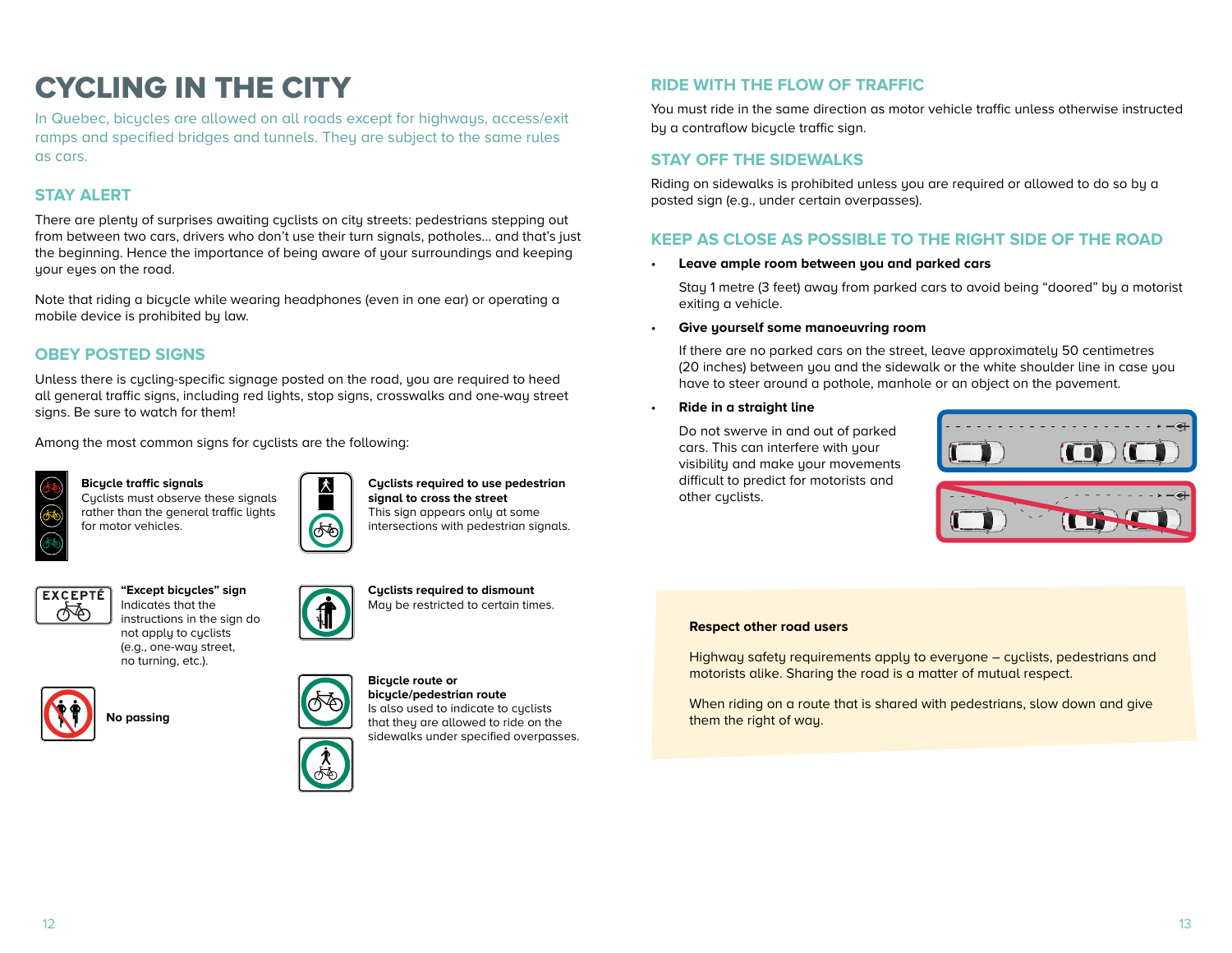# <span id="page-6-0"></span>CYCLING IN THE CITY

In Quebec, bicycles are allowed on all roads except for highways, access/exit ramps and specified bridges and tunnels. They are subject to the same rules as cars.

## **STAY ALERT**

There are plenty of surprises awaiting cyclists on city streets: pedestrians stepping out from between two cars, drivers who don't use their turn signals, potholes… and that's just the beginning. Hence the importance of being aware of your surroundings and keeping uour eues on the road.

Note that riding a bicycle while wearing headphones (even in one ear) or operating a mobile device is prohibited by law.

# **OBEY POSTED SIGNS**

Unless there is cycling-specific signage posted on the road, you are required to heed all general traffic signs, including red lights, stop signs, crosswalks and one-way street signs. Be sure to watch for them!

Among the most common signs for cyclists are the following:



**Bicycle traffic signals**  Cyclists must observe these signals rather than the general traffic lights for motor vehicles.



#### **Cyclists required to use pedestrian signal to cross the street**  This sign appears only at some intersections with pedestrian signals.



**"Except bicycles" sign**  Indicates that the instructions in the sign do not apply to cyclists (e.g., one-way street, no turning, etc.).





**Cyclists required to dismount**  May be restricted to certain times.



#### **Bicycle route or bicycle/pedestrian route**

Is also used to indicate to cyclists that they are allowed to ride on the sidewalks under specified overpasses.

# **RIDE WITH THE FLOW OF TRAFFIC**

You must ride in the same direction as motor vehicle traffic unless otherwise instructed by a contraflow bicycle traffic sign.

### **STAY OFF THE SIDEWALKS**

Riding on sidewalks is prohibited unless you are required or allowed to do so by a posted sign (e.g., under certain overpasses).

### **KEEP AS CLOSE AS POSSIBLE TO THE RIGHT SIDE OF THE ROAD**

• **Leave ample room between you and parked cars** 

Stay 1 metre (3 feet) away from parked cars to avoid being "doored" by a motorist exiting a vehicle.

• **Give yourself some manoeuvring room** 

If there are no parked cars on the street, leave approximately 50 centimetres (20 inches) between you and the sidewalk or the white shoulder line in case you have to steer around a pothole, manhole or an object on the pavement.

• **Ride in a straight line** 

Do not swerve in and out of parked cars. This can interfere with your visibility and make your movements difficult to predict for motorists and other cyclists.  $\overline{a}$ 



#### **Respect other road users**

Highway safety requirements apply to everyone – cyclists, pedestrians and motorists alike. Sharing the road is a matter of mutual respect.

When riding on a route that is shared with pedestrians, slow down and give them the right of way.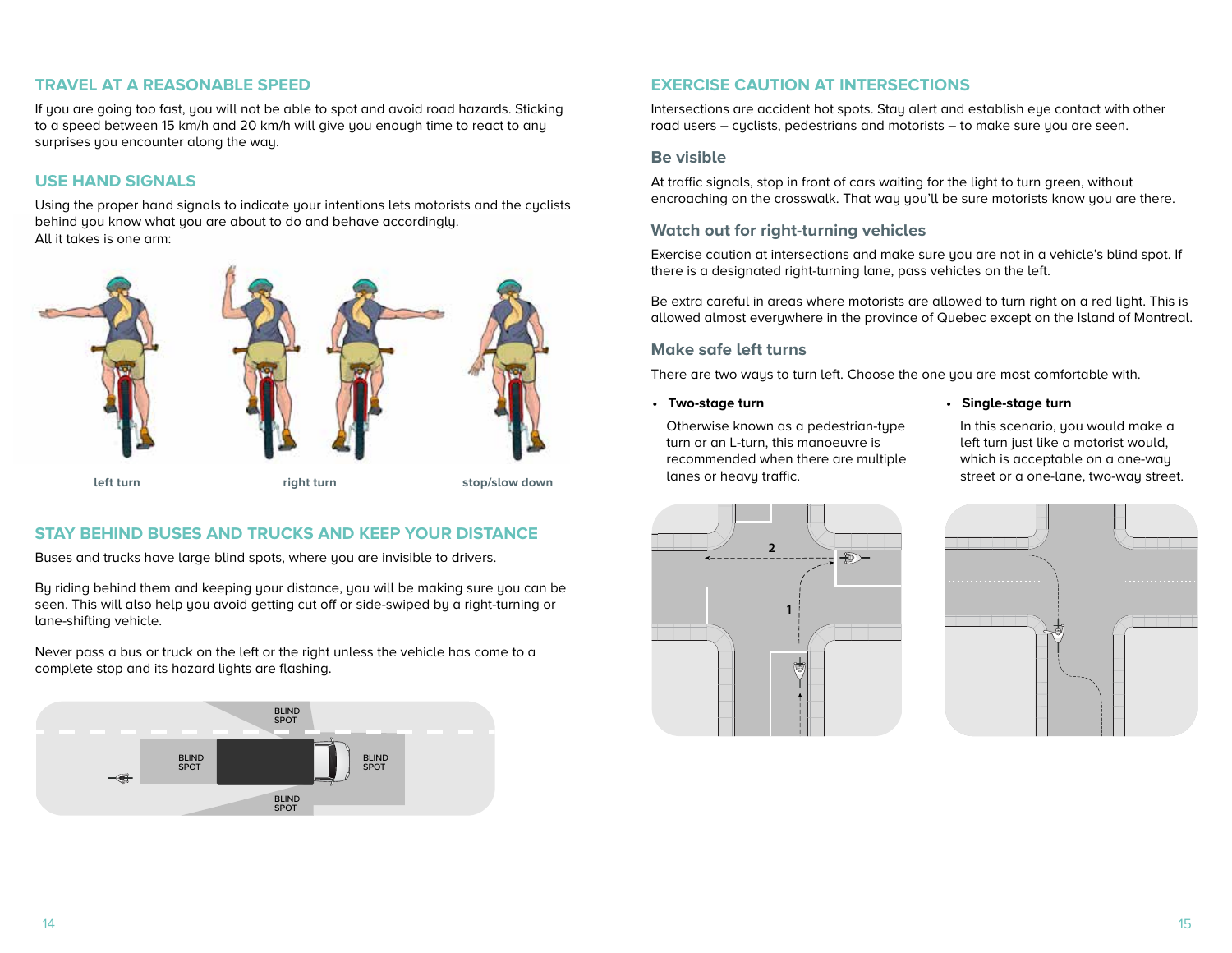#### **TRAVEL AT A REASONABLE SPEED**

If you are going too fast, you will not be able to spot and avoid road hazards. Sticking to a speed between 15 km/h and 20 km/h will give you enough time to react to any surprises you encounter along the way.

# **USE HAND SIGNALS**

Using the proper hand signals to indicate your intentions lets motorists and the cyclists behind you know what you are about to do and behave accordingly. All it takes is one arm:



# **STAY BEHIND BUSES AND TRUCKS AND KEEP YOUR DISTANCE**

Buses and trucks have large blind spots, where you are invisible to drivers.

By riding behind them and keeping your distance, you will be making sure you can be seen. This will also help you avoid getting cut off or side-swiped by a right-turning or lane-shifting vehicle.

Never pass a bus or truck on the left or the right unless the vehicle has come to a complete stop and its hazard lights are flashing.



# **EXERCISE CAUTION AT INTERSECTIONS**

Intersections are accident hot spots. Stay alert and establish eye contact with other road users – cyclists, pedestrians and motorists – to make sure you are seen.

#### **Be visible**

At traffic signals, stop in front of cars waiting for the light to turn green, without encroaching on the crosswalk. That way you'll be sure motorists know you are there.

### **Watch out for right-turning vehicles**

Exercise caution at intersections and make sure you are not in a vehicle's blind spot. If there is a designated right-turning lane, pass vehicles on the left.

Be extra careful in areas where motorists are allowed to turn right on a red light. This is allowed almost everywhere in the province of Quebec except on the Island of Montreal.

#### **Make safe left turns**

There are two ways to turn left. Choose the one you are most comfortable with.

**• Two-stage turn** 

Otherwise known as a pedestrian-type turn or an L-turn, this manoeuvre is recommended when there are multiple lanes or heavy traffic.

**• Single-stage turn** 

In this scenario, you would make a left turn just like a motorist would, which is acceptable on a one-way



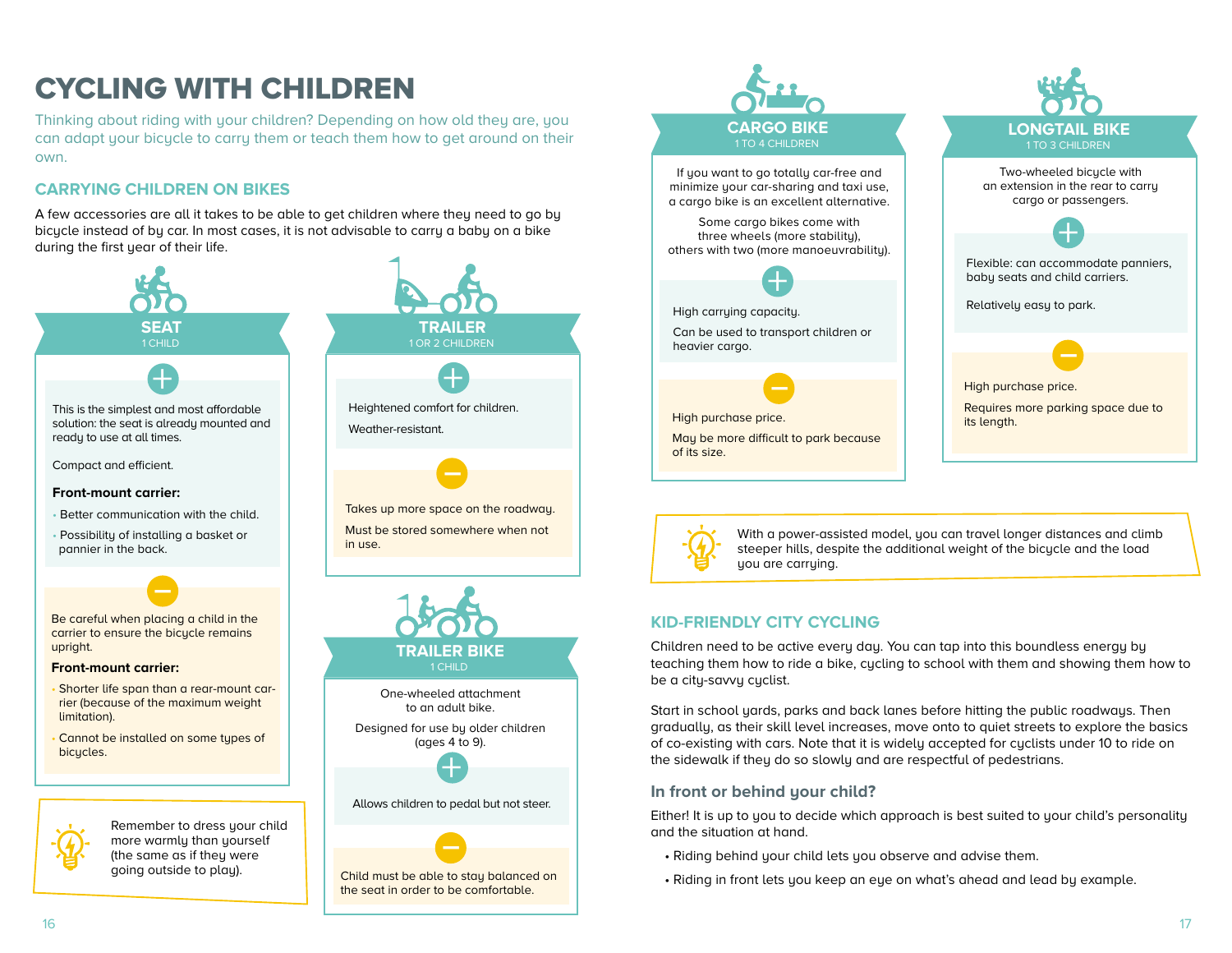# <span id="page-8-0"></span>CYCLING WITH CHILDREN

Thinking about riding with your children? Depending on how old they are, you can adapt your bicycle to carry them or teach them how to get around on their own.

# **CARRYING CHILDREN ON BIKES**

A few accessories are all it takes to be able to get children where they need to go by bicycle instead of by car. In most cases, it is not advisable to carry a baby on a bike during the first year of their life.



Child must be able to stay balanced on the seat in order to be comfortable.





With a power-assisted model, you can travel longer distances and climb steeper hills, despite the additional weight of the bicycle and the load you are carrying.

# **KID-FRIENDLY CITY CYCLING**

Children need to be active every day. You can tap into this boundless energy by teaching them how to ride a bike, cycling to school with them and showing them how to be a city-savvy cyclist.

Start in school yards, parks and back lanes before hitting the public roadways. Then gradually, as their skill level increases, move onto to quiet streets to explore the basics of co-existing with cars. Note that it is widely accepted for cyclists under 10 to ride on the sidewalk if they do so slowly and are respectful of pedestrians.

#### **In front or behind your child?**

Either! It is up to you to decide which approach is best suited to your child's personality and the situation at hand.

- Riding behind your child lets you observe and advise them.
- Riding in front lets you keep an eye on what's ahead and lead by example.

going outside to play).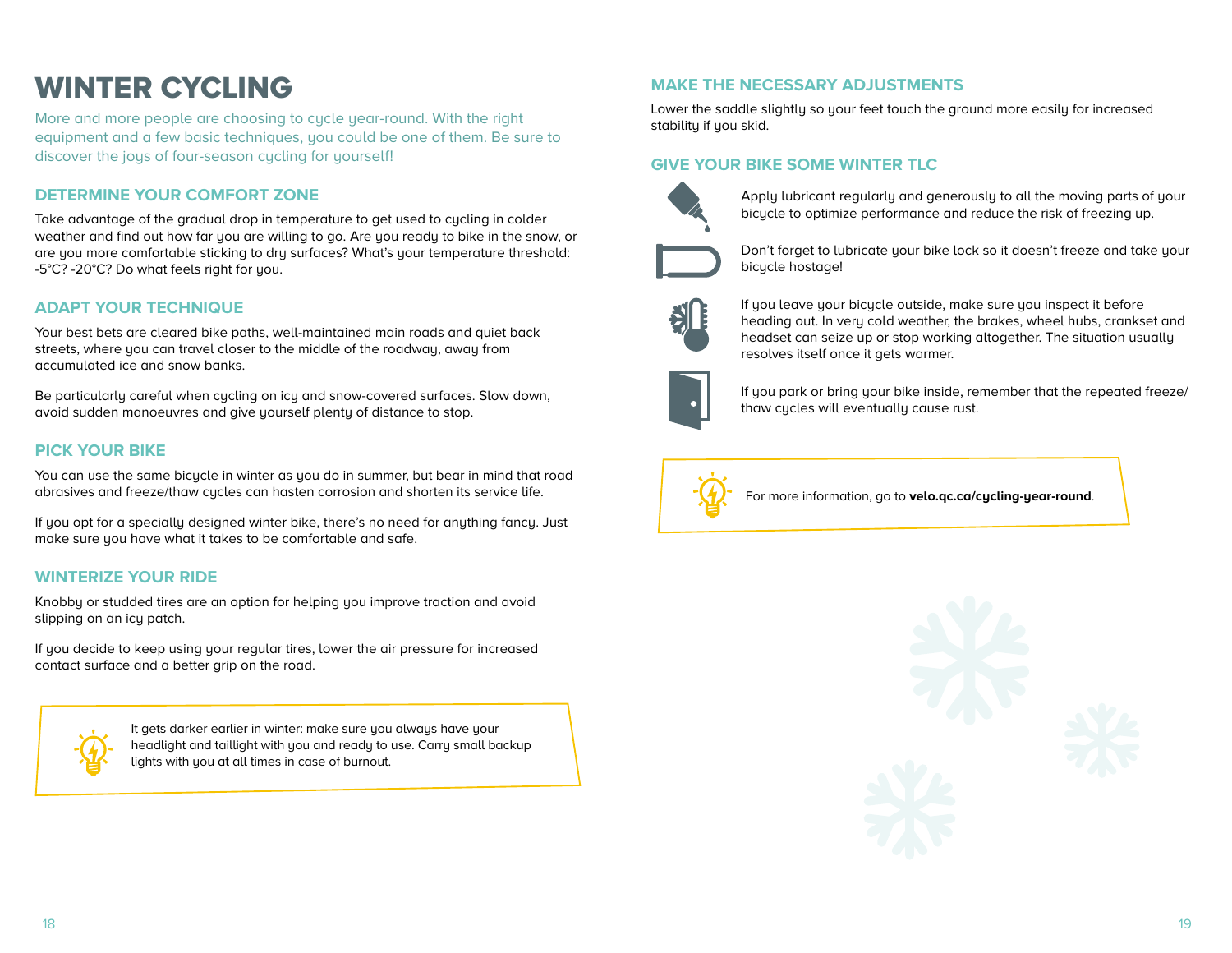# <span id="page-9-0"></span>WINTER CYCLING

More and more people are choosing to cycle year-round. With the right equipment and a few basic techniques, you could be one of them. Be sure to discover the joys of four-season cycling for yourself!

### **DETERMINE YOUR COMFORT ZONE**

Take advantage of the gradual drop in temperature to get used to cycling in colder weather and find out how far you are willing to go. Are you ready to bike in the snow, or are you more comfortable sticking to dry surfaces? What's your temperature threshold: -5°C? -20°C? Do what feels right for you.

#### **ADAPT YOUR TECHNIQUE**

Your best bets are cleared bike paths, well-maintained main roads and quiet back streets, where you can travel closer to the middle of the roadway, away from accumulated ice and snow banks.

Be particularly careful when cycling on icy and snow-covered surfaces. Slow down, avoid sudden manoeuvres and give yourself plenty of distance to stop.

#### **PICK YOUR BIKE**

You can use the same bicycle in winter as you do in summer, but bear in mind that road abrasives and freeze/thaw cycles can hasten corrosion and shorten its service life.

If you opt for a specially designed winter bike, there's no need for anything fancy. Just make sure you have what it takes to be comfortable and safe.

#### **WINTERIZE YOUR RIDE**

Knobby or studded tires are an option for helping you improve traction and avoid slipping on an icy patch.

If you decide to keep using your regular tires, lower the air pressure for increased contact surface and a better grip on the road.



It gets darker earlier in winter: make sure you always have your headlight and taillight with you and ready to use. Carry small backup lights with you at all times in case of burnout.

#### **MAKE THE NECESSARY ADJUSTMENTS**

Lower the saddle slightly so your feet touch the ground more easily for increased stability if you skid.

#### **GIVE YOUR BIKE SOME WINTER TLC**



Apply lubricant regularly and generously to all the moving parts of your bicycle to optimize performance and reduce the risk of freezing up.



Don't forget to lubricate your bike lock so it doesn't freeze and take your bicycle hostage!



If you leave your bicycle outside, make sure you inspect it before heading out. In very cold weather, the brakes, wheel hubs, crankset and headset can seize up or stop working altogether. The situation usually resolves itself once it gets warmer.



If you park or bring your bike inside, remember that the repeated freeze/ thaw cycles will eventually cause rust.



For more information, go to **velo.qc.ca/cycling-year-round**.